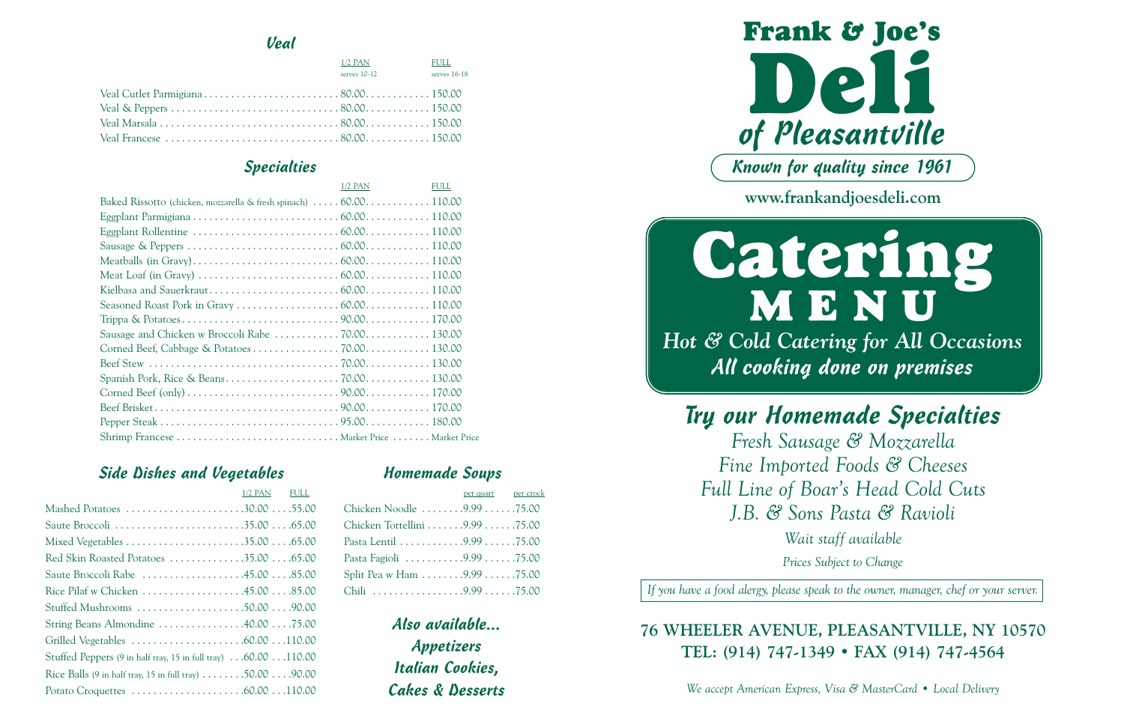



Try our Homemade Specialties *Fresh Sausage & Mozzarella Fine Imported Foods & Cheeses Full Line of Boar's Head Cold Cuts J.B. & Sons Pasta & Ravioli*

*Wait staff available*

*Prices Subject to Change*

*If you have a food alergy, please speak to the owner, manager, chef or your server.*

## **76 WHEELER AVENUE, PLEASANTVILLE, NY 10570 TEL: (914) 747-1349 • FAX (914) 747-4564**

*We accept American Express, Visa & MasterCard • Local Delivery*

### Veal

| $1/2$ PAN<br>serves $10-12$ | FULL<br>serves 16-18 |
|-----------------------------|----------------------|
|                             |                      |
|                             |                      |
|                             |                      |
|                             |                      |

### Specialties

|                                                                    | $1/2$ PAN | <b>FULL</b> |
|--------------------------------------------------------------------|-----------|-------------|
| Baked Rissotto (chicken, mozzarella & fresh spinach)  60.00 110.00 |           |             |
|                                                                    |           |             |
|                                                                    |           |             |
|                                                                    |           |             |
|                                                                    |           |             |
|                                                                    |           |             |
|                                                                    |           |             |
|                                                                    |           |             |
|                                                                    |           |             |
|                                                                    |           |             |
|                                                                    |           |             |
|                                                                    |           |             |
|                                                                    |           |             |
|                                                                    |           |             |
|                                                                    |           |             |
|                                                                    |           |             |
|                                                                    |           |             |

### Side Dishes and Vegetables

|                                                                                           | 1/2 PAN FULL |  |
|-------------------------------------------------------------------------------------------|--------------|--|
| Mashed Potatoes 30.0055.00                                                                |              |  |
|                                                                                           |              |  |
|                                                                                           |              |  |
| Red Skin Roasted Potatoes 35.00 65.00                                                     |              |  |
| Saute Broccoli Rabe 45.00 85.00                                                           |              |  |
| Rice Pilaf w Chicken 45.00 85.00                                                          |              |  |
| Stuffed Mushrooms 50.00 90.00                                                             |              |  |
| String Beans Almondine 40.0075.00                                                         |              |  |
|                                                                                           |              |  |
| Stuffed Peppers (9 in half tray, 15 in full tray) 60.00 110.00                            |              |  |
| Rice Balls (9 in half tray, 15 in full tray) $\ldots \ldots \ldots$ 50.00 $\ldots$ .90.00 |              |  |
|                                                                                           |              |  |

Also available... Appetizers Italian Cookies, Cakes & Desserts

### Homemade Soups

|                               | per quart per crock |  |
|-------------------------------|---------------------|--|
| Chicken Noodle 9.9975.00      |                     |  |
| Chicken Tortellini 9.99 75.00 |                     |  |
|                               |                     |  |
| Pasta Fagioli 9.9975.00       |                     |  |
| Split Pea w Ham 9.99 75.00    |                     |  |
| Chili 9.99 75.00              |                     |  |